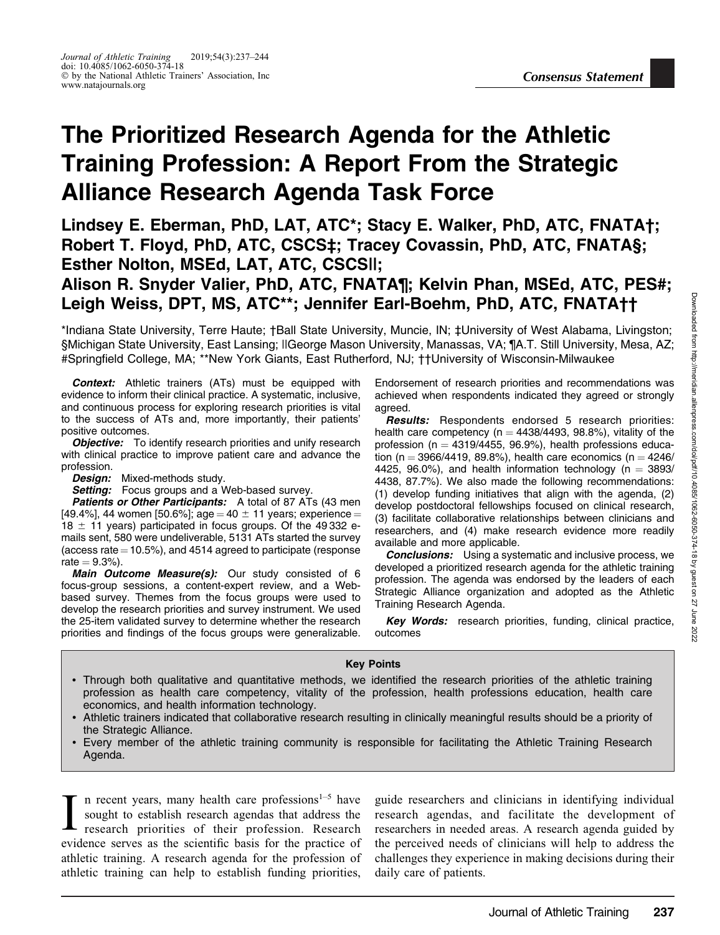## The Prioritized Research Agenda for the Athletic Training Profession: A Report From the Strategic Alliance Research Agenda Task Force

Lindsey E. Eberman, PhD, LAT, ATC\*; Stacy E. Walker, PhD, ATC, FNATA†; Robert T. Floyd, PhD, ATC, CSCS‡; Tracey Covassin, PhD, ATC, FNATA§; Esther Nolton, MSEd, LAT, ATC, CSCS||;

## Alison R. Snyder Valier, PhD, ATC, FNATA¶; Kelvin Phan, MSEd, ATC, PES#; Leigh Weiss, DPT, MS, ATC\*\*; Jennifer Earl-Boehm, PhD, ATC, FNATA††

\*Indiana State University, Terre Haute; †Ball State University, Muncie, IN; ‡University of West Alabama, Livingston; §Michigan State University, East Lansing; ||George Mason University, Manassas, VA; ¶A.T. Still University, Mesa, AZ; #Springfield College, MA; \*\*New York Giants, East Rutherford, NJ; ††University of Wisconsin-Milwaukee

Context: Athletic trainers (ATs) must be equipped with evidence to inform their clinical practice. A systematic, inclusive, and continuous process for exploring research priorities is vital to the success of ATs and, more importantly, their patients' positive outcomes.

**Objective:** To identify research priorities and unify research with clinical practice to improve patient care and advance the profession.

Design: Mixed-methods study.

Setting: Focus groups and a Web-based survey.

Patients or Other Participants: A total of 87 ATs (43 men [49.4%], 44 women [50.6%]; age = 40  $\pm$  11 years; experience = 18  $\pm$  11 years) participated in focus groups. Of the 49 332 emails sent, 580 were undeliverable, 5131 ATs started the survey (access rate  $=10.5\%$ ), and 4514 agreed to participate (response  $rate = 9.3\%$ ).

Main Outcome Measure(s): Our study consisted of 6 focus-group sessions, a content-expert review, and a Webbased survey. Themes from the focus groups were used to develop the research priorities and survey instrument. We used the 25-item validated survey to determine whether the research priorities and findings of the focus groups were generalizable.

Endorsement of research priorities and recommendations was achieved when respondents indicated they agreed or strongly agreed.

Results: Respondents endorsed 5 research priorities: health care competency ( $n = 4438/4493$ , 98.8%), vitality of the profession ( $n = 4319/4455$ , 96.9%), health professions education (n = 3966/4419, 89.8%), health care economics (n =  $4246/$ ) 4425, 96.0%), and health information technology ( $n = 3893/$ 4438, 87.7%). We also made the following recommendations: (1) develop funding initiatives that align with the agenda, (2) develop postdoctoral fellowships focused on clinical research, (3) facilitate collaborative relationships between clinicians and researchers, and (4) make research evidence more readily available and more applicable.

**Conclusions:** Using a systematic and inclusive process, we developed a prioritized research agenda for the athletic training profession. The agenda was endorsed by the leaders of each Strategic Alliance organization and adopted as the Athletic Training Research Agenda.

Key Words: research priorities, funding, clinical practice, outcomes

#### Key Points

- Through both qualitative and quantitative methods, we identified the research priorities of the athletic training profession as health care competency, vitality of the profession, health professions education, health care economics, and health information technology.
- Athletic trainers indicated that collaborative research resulting in clinically meaningful results should be a priority of the Strategic Alliance.
- Every member of the athletic training community is responsible for facilitating the Athletic Training Research Agenda.

I n recent years, many health care professions $1-5$  have sought to establish research agendas that address the research priorities of their profession. Research evidence serves as the scientific basis for the practice of athletic training. A research agenda for the profession of athletic training can help to establish funding priorities,

guide researchers and clinicians in identifying individual research agendas, and facilitate the development of researchers in needed areas. A research agenda guided by the perceived needs of clinicians will help to address the challenges they experience in making decisions during their daily care of patients.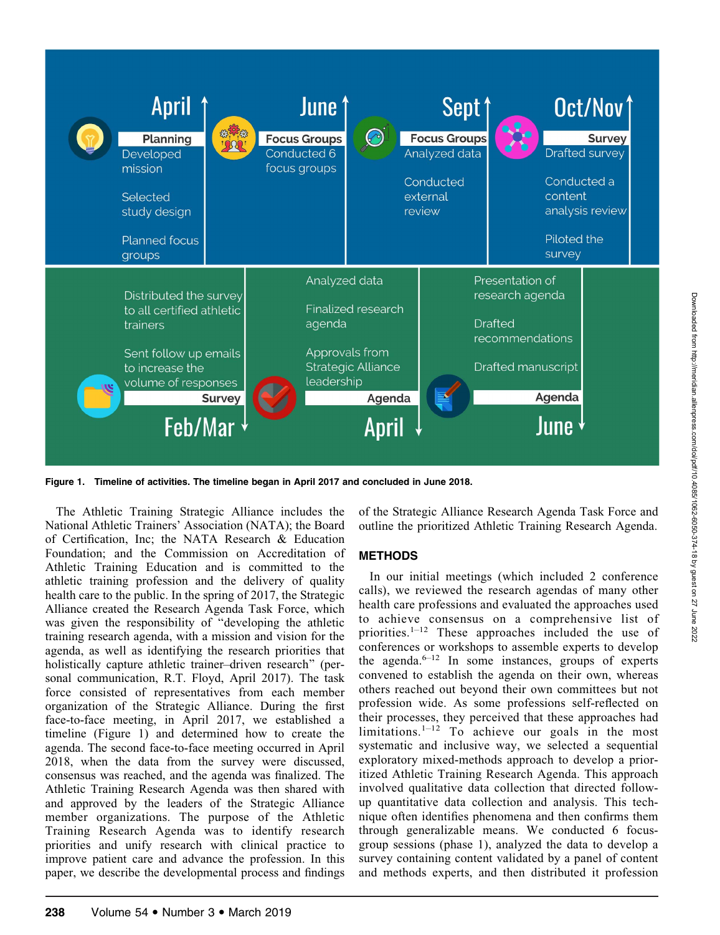

Figure 1. Timeline of activities. The timeline began in April 2017 and concluded in June 2018.

The Athletic Training Strategic Alliance includes the National Athletic Trainers' Association (NATA); the Board of Certification, Inc; the NATA Research & Education Foundation; and the Commission on Accreditation of Athletic Training Education and is committed to the athletic training profession and the delivery of quality health care to the public. In the spring of 2017, the Strategic Alliance created the Research Agenda Task Force, which was given the responsibility of "developing the athletic training research agenda, with a mission and vision for the agenda, as well as identifying the research priorities that holistically capture athletic trainer–driven research'' (personal communication, R.T. Floyd, April 2017). The task force consisted of representatives from each member organization of the Strategic Alliance. During the first face-to-face meeting, in April 2017, we established a timeline (Figure 1) and determined how to create the agenda. The second face-to-face meeting occurred in April 2018, when the data from the survey were discussed, consensus was reached, and the agenda was finalized. The Athletic Training Research Agenda was then shared with and approved by the leaders of the Strategic Alliance member organizations. The purpose of the Athletic Training Research Agenda was to identify research priorities and unify research with clinical practice to improve patient care and advance the profession. In this paper, we describe the developmental process and findings

of the Strategic Alliance Research Agenda Task Force and outline the prioritized Athletic Training Research Agenda.

#### METHODS

In our initial meetings (which included 2 conference calls), we reviewed the research agendas of many other health care professions and evaluated the approaches used to achieve consensus on a comprehensive list of priorities.1–12 These approaches included the use of conferences or workshops to assemble experts to develop the agenda. $6-12$  In some instances, groups of experts convened to establish the agenda on their own, whereas others reached out beyond their own committees but not profession wide. As some professions self-reflected on their processes, they perceived that these approaches had limitations. $1-12$  To achieve our goals in the most systematic and inclusive way, we selected a sequential exploratory mixed-methods approach to develop a prioritized Athletic Training Research Agenda. This approach involved qualitative data collection that directed followup quantitative data collection and analysis. This technique often identifies phenomena and then confirms them through generalizable means. We conducted 6 focusgroup sessions (phase 1), analyzed the data to develop a survey containing content validated by a panel of content and methods experts, and then distributed it profession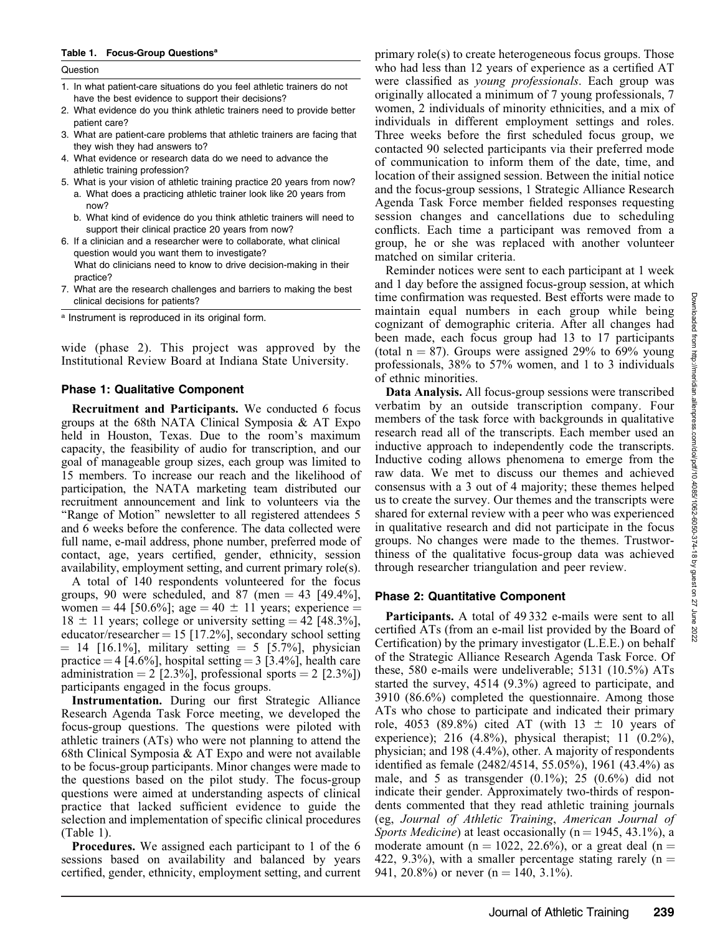#### Table 1. Focus-Group Questionsa

| Question  |                                                                                                                                                                                            | who had le                          |
|-----------|--------------------------------------------------------------------------------------------------------------------------------------------------------------------------------------------|-------------------------------------|
|           |                                                                                                                                                                                            |                                     |
|           | 1. In what patient-care situations do you feel athletic trainers do not<br>have the best evidence to support their decisions?                                                              | were classi<br>originally a         |
|           | 2. What evidence do you think athletic trainers need to provide better<br>patient care?                                                                                                    | women, 2 i<br>individuals           |
|           | 3. What are patient-care problems that athletic trainers are facing that<br>they wish they had answers to?                                                                                 | Three weel<br>contacted 9           |
|           | 4. What evidence or research data do we need to advance the<br>athletic training profession?                                                                                               | of commun<br>location of            |
| now?      | 5. What is your vision of athletic training practice 20 years from now?<br>a. What does a practicing athletic trainer look like 20 years from                                              | and the foct<br>Agenda Ta           |
|           | b. What kind of evidence do you think athletic trainers will need to<br>support their clinical practice 20 years from now?                                                                 | session ch<br>conflicts. E          |
|           | 6. If a clinician and a researcher were to collaborate, what clinical<br>question would you want them to investigate?<br>What do clinicians need to know to drive decision-making in their | group, he<br>matched on<br>Reminder |
| practice? | 7. What are the research challenges and barriers to making the best                                                                                                                        | and 1 day b                         |

- 7. What are the research challenges and barriers to making the best clinical decisions for patients?
- a Instrument is reproduced in its original form.

wide (phase 2). This project was approved by the Institutional Review Board at Indiana State University.

#### Phase 1: Qualitative Component

Recruitment and Participants. We conducted 6 focus groups at the 68th NATA Clinical Symposia & AT Expo held in Houston, Texas. Due to the room's maximum capacity, the feasibility of audio for transcription, and our goal of manageable group sizes, each group was limited to 15 members. To increase our reach and the likelihood of participation, the NATA marketing team distributed our recruitment announcement and link to volunteers via the "Range of Motion" newsletter to all registered attendees 5 and 6 weeks before the conference. The data collected were full name, e-mail address, phone number, preferred mode of contact, age, years certified, gender, ethnicity, session availability, employment setting, and current primary role(s).

A total of 140 respondents volunteered for the focus groups, 90 were scheduled, and 87 (men  $=$  43 [49.4%], women = 44 [50.6%]; age = 40  $\pm$  11 years; experience =  $18 \pm 11$  years; college or university setting = 42 [48.3%], educator/researcher  $= 15$  [17.2%], secondary school setting  $= 14$  [16.1%], military setting  $= 5$  [5.7%], physician practice  $=$  4 [4.6%], hospital setting  $=$  3 [3.4%], health care administration = 2 [2.3%], professional sports = 2 [2.3%]) participants engaged in the focus groups.

Instrumentation. During our first Strategic Alliance Research Agenda Task Force meeting, we developed the focus-group questions. The questions were piloted with athletic trainers (ATs) who were not planning to attend the 68th Clinical Symposia & AT Expo and were not available to be focus-group participants. Minor changes were made to the questions based on the pilot study. The focus-group questions were aimed at understanding aspects of clinical practice that lacked sufficient evidence to guide the selection and implementation of specific clinical procedures (Table 1).

Procedures. We assigned each participant to 1 of the 6 sessions based on availability and balanced by years certified, gender, ethnicity, employment setting, and current  $e(s)$  to create heterogeneous focus groups. Those ss than 12 years of experience as a certified AT ified as *young professionals*. Each group was allocated a minimum of 7 young professionals, 7 ndividuals of minority ethnicities, and a mix of in different employment settings and roles. ks before the first scheduled focus group, we 0 selected participants via their preferred mode nication to inform them of the date, time, and their assigned session. Between the initial notice us-group sessions, 1 Strategic Alliance Research ask Force member fielded responses requesting anges and cancellations due to scheduling Each time a participant was removed from a or she was replaced with another volunteer similar criteria.

r notices were sent to each participant at 1 week efore the assigned focus-group session, at which time confirmation was requested. Best efforts were made to maintain equal numbers in each group while being cognizant of demographic criteria. After all changes had been made, each focus group had 13 to 17 participants (total  $n = 87$ ). Groups were assigned 29% to 69% young professionals, 38% to 57% women, and 1 to 3 individuals of ethnic minorities.

Data Analysis. All focus-group sessions were transcribed verbatim by an outside transcription company. Four members of the task force with backgrounds in qualitative research read all of the transcripts. Each member used an inductive approach to independently code the transcripts. Inductive coding allows phenomena to emerge from the raw data. We met to discuss our themes and achieved consensus with a 3 out of 4 majority; these themes helped us to create the survey. Our themes and the transcripts were shared for external review with a peer who was experienced in qualitative research and did not participate in the focus groups. No changes were made to the themes. Trustworthiness of the qualitative focus-group data was achieved through researcher triangulation and peer review.

#### Phase 2: Quantitative Component

**Participants.** A total of 49332 e-mails were sent to all certified ATs (from an e-mail list provided by the Board of Certification) by the primary investigator (L.E.E.) on behalf of the Strategic Alliance Research Agenda Task Force. Of these, 580 e-mails were undeliverable; 5131 (10.5%) ATs started the survey, 4514 (9.3%) agreed to participate, and 3910 (86.6%) completed the questionnaire. Among those ATs who chose to participate and indicated their primary role, 4053 (89.8%) cited AT (with  $13 \pm 10$  years of experience); 216  $(4.8\%)$ , physical therapist; 11  $(0.2\%)$ , physician; and 198 (4.4%), other. A majority of respondents identified as female (2482/4514, 55.05%), 1961 (43.4%) as male, and 5 as transgender  $(0.1\%)$ ; 25  $(0.6\%)$  did not indicate their gender. Approximately two-thirds of respondents commented that they read athletic training journals (eg, Journal of Athletic Training, American Journal of Sports Medicine) at least occasionally ( $n = 1945, 43.1\%$ ), a moderate amount (n = 1022, 22.6%), or a great deal (n = 422, 9.3%), with a smaller percentage stating rarely ( $n =$ 941, 20.8%) or never  $(n = 140, 3.1\%)$ .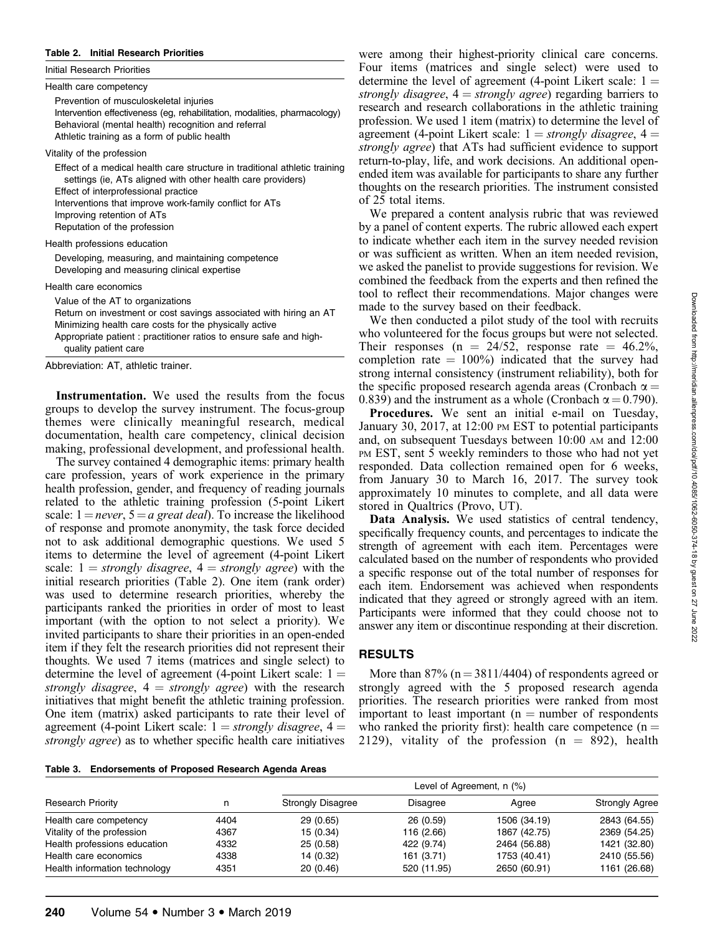#### Table 2. Initial Research Priorities

| Health care competency<br>Prevention of musculoskeletal injuries<br>Intervention effectiveness (eg, rehabilitation, modalities, pharmacology)<br>Behavioral (mental health) recognition and referral<br>Athletic training as a form of public health<br>Vitality of the profession<br>Effect of a medical health care structure in traditional athletic training<br>settings (ie, ATs aligned with other health care providers)<br>Effect of interprofessional practice<br>Interventions that improve work-family conflict for ATs<br>Improving retention of ATs<br>Reputation of the profession<br>Health professions education<br>Developing, measuring, and maintaining competence<br>Developing and measuring clinical expertise<br>Health care economics |
|---------------------------------------------------------------------------------------------------------------------------------------------------------------------------------------------------------------------------------------------------------------------------------------------------------------------------------------------------------------------------------------------------------------------------------------------------------------------------------------------------------------------------------------------------------------------------------------------------------------------------------------------------------------------------------------------------------------------------------------------------------------|
|                                                                                                                                                                                                                                                                                                                                                                                                                                                                                                                                                                                                                                                                                                                                                               |
|                                                                                                                                                                                                                                                                                                                                                                                                                                                                                                                                                                                                                                                                                                                                                               |
|                                                                                                                                                                                                                                                                                                                                                                                                                                                                                                                                                                                                                                                                                                                                                               |
|                                                                                                                                                                                                                                                                                                                                                                                                                                                                                                                                                                                                                                                                                                                                                               |
|                                                                                                                                                                                                                                                                                                                                                                                                                                                                                                                                                                                                                                                                                                                                                               |
|                                                                                                                                                                                                                                                                                                                                                                                                                                                                                                                                                                                                                                                                                                                                                               |
|                                                                                                                                                                                                                                                                                                                                                                                                                                                                                                                                                                                                                                                                                                                                                               |
|                                                                                                                                                                                                                                                                                                                                                                                                                                                                                                                                                                                                                                                                                                                                                               |
| Value of the AT to organizations<br>Return on investment or cost savings associated with hiring an AT<br>Minimizing health care costs for the physically active<br>Appropriate patient: practitioner ratios to ensure safe and high-<br>quality patient care                                                                                                                                                                                                                                                                                                                                                                                                                                                                                                  |

Instrumentation. We used the results from the focus groups to develop the survey instrument. The focus-group themes were clinically meaningful research, medical documentation, health care competency, clinical decision making, professional development, and professional health.

The survey contained 4 demographic items: primary health care profession, years of work experience in the primary health profession, gender, and frequency of reading journals related to the athletic training profession (5-point Likert scale:  $1 = never$ ,  $5 = a$  great deal). To increase the likelihood of response and promote anonymity, the task force decided not to ask additional demographic questions. We used 5 items to determine the level of agreement (4-point Likert scale:  $1 =$  strongly disagree,  $4 =$  strongly agree) with the initial research priorities (Table 2). One item (rank order) was used to determine research priorities, whereby the participants ranked the priorities in order of most to least important (with the option to not select a priority). We invited participants to share their priorities in an open-ended item if they felt the research priorities did not represent their thoughts. We used 7 items (matrices and single select) to determine the level of agreement (4-point Likert scale:  $1 =$ strongly disagree,  $4 =$  strongly agree) with the research initiatives that might benefit the athletic training profession. One item (matrix) asked participants to rate their level of agreement (4-point Likert scale:  $1 =$  strongly disagree,  $4 =$ strongly agree) as to whether specific health care initiatives

Table 3. Endorsements of Proposed Research Agenda Areas

were among their highest-priority clinical care concerns. Four items (matrices and single select) were used to determine the level of agreement (4-point Likert scale:  $1 =$ strongly disagree,  $4 =$  strongly agree) regarding barriers to research and research collaborations in the athletic training profession. We used 1 item (matrix) to determine the level of agreement (4-point Likert scale:  $1 =$  strongly disagree,  $4 =$ strongly agree) that ATs had sufficient evidence to support return-to-play, life, and work decisions. An additional openended item was available for participants to share any further thoughts on the research priorities. The instrument consisted of 25 total items.

We prepared a content analysis rubric that was reviewed by a panel of content experts. The rubric allowed each expert to indicate whether each item in the survey needed revision or was sufficient as written. When an item needed revision, we asked the panelist to provide suggestions for revision. We combined the feedback from the experts and then refined the tool to reflect their recommendations. Major changes were made to the survey based on their feedback.

We then conducted a pilot study of the tool with recruits who volunteered for the focus groups but were not selected. Their responses (n =  $24/52$ , response rate =  $46.2\%$ , completion rate  $= 100\%$ ) indicated that the survey had strong internal consistency (instrument reliability), both for the specific proposed research agenda areas (Cronbach  $\alpha =$ 0.839) and the instrument as a whole (Cronbach  $\alpha = 0.790$ ).

Procedures. We sent an initial e-mail on Tuesday, January 30, 2017, at 12:00 PM EST to potential participants and, on subsequent Tuesdays between 10:00 AM and 12:00 PM EST, sent 5 weekly reminders to those who had not yet responded. Data collection remained open for 6 weeks, from January 30 to March 16, 2017. The survey took approximately 10 minutes to complete, and all data were stored in Qualtrics (Provo, UT).

Data Analysis. We used statistics of central tendency, specifically frequency counts, and percentages to indicate the strength of agreement with each item. Percentages were calculated based on the number of respondents who provided a specific response out of the total number of responses for each item. Endorsement was achieved when respondents indicated that they agreed or strongly agreed with an item. Participants were informed that they could choose not to answer any item or discontinue responding at their discretion.

#### RESULTS

More than  $87\%$  (n = 3811/4404) of respondents agreed or strongly agreed with the 5 proposed research agenda priorities. The research priorities were ranked from most important to least important ( $n =$  number of respondents who ranked the priority first): health care competence ( $n =$ 2129), vitality of the profession  $(n = 892)$ , health

|                               |      | Level of Agreement, n (%) |                 |              |                       |  |  |  |
|-------------------------------|------|---------------------------|-----------------|--------------|-----------------------|--|--|--|
| <b>Research Priority</b>      |      | <b>Strongly Disagree</b>  | <b>Disagree</b> | Agree        | <b>Strongly Agree</b> |  |  |  |
| Health care competency        | 4404 | 29(0.65)                  | 26(0.59)        | 1506 (34.19) | 2843 (64.55)          |  |  |  |
| Vitality of the profession    | 4367 | 15 (0.34)                 | 116 (2.66)      | 1867 (42.75) | 2369 (54.25)          |  |  |  |
| Health professions education  | 4332 | 25(0.58)                  | 422 (9.74)      | 2464 (56.88) | 1421 (32.80)          |  |  |  |
| Health care economics         | 4338 | 14 (0.32)                 | 161 (3.71)      | 1753 (40.41) | 2410 (55.56)          |  |  |  |
| Health information technology | 4351 | 20(0.46)                  | 520 (11.95)     | 2650 (60.91) | 1161 (26.68)          |  |  |  |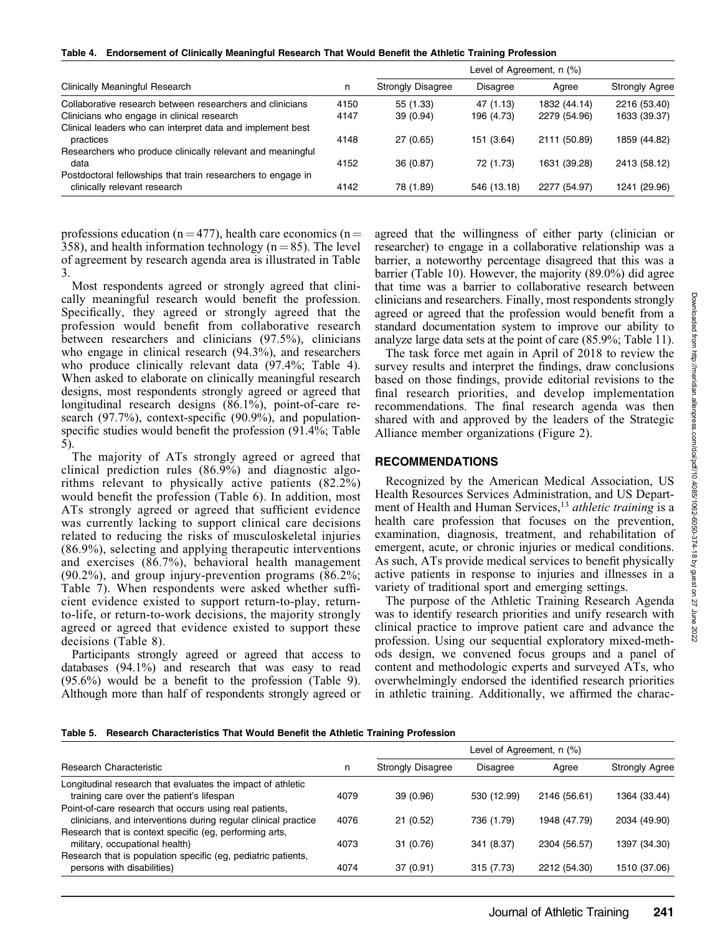Table 4. Endorsement of Clinically Meaningful Research That Would Benefit the Athletic Training Profession

|                                                                                              |      | Level of Agreement, n (%) |                 |              |                       |  |
|----------------------------------------------------------------------------------------------|------|---------------------------|-----------------|--------------|-----------------------|--|
| Clinically Meaningful Research                                                               |      | <b>Strongly Disagree</b>  | <b>Disagree</b> | Agree        | <b>Strongly Agree</b> |  |
| Collaborative research between researchers and clinicians                                    | 4150 | 55 (1.33)                 | 47 (1.13)       | 1832 (44.14) | 2216 (53.40)          |  |
| Clinicians who engage in clinical research                                                   | 4147 | 39(0.94)                  | 196 (4.73)      | 2279 (54.96) | 1633 (39.37)          |  |
| Clinical leaders who can interpret data and implement best<br>practices                      | 4148 | 27(0.65)                  | 151 (3.64)      | 2111 (50.89) | 1859 (44.82)          |  |
| Researchers who produce clinically relevant and meaningful<br>data                           | 4152 | 36 (0.87)                 | 72 (1.73)       | 1631 (39.28) | 2413 (58.12)          |  |
| Postdoctoral fellowships that train researchers to engage in<br>clinically relevant research | 4142 | 78 (1.89)                 | 546 (13.18)     | 2277 (54.97) | 1241 (29.96)          |  |

professions education (n = 477), health care economics (n = 358), and health information technology ( $n = 85$ ). The level of agreement by research agenda area is illustrated in Table 3.

Most respondents agreed or strongly agreed that clinically meaningful research would benefit the profession. Specifically, they agreed or strongly agreed that the profession would benefit from collaborative research between researchers and clinicians (97.5%), clinicians who engage in clinical research  $(94.3\%)$ , and researchers who produce clinically relevant data (97.4%; Table 4). When asked to elaborate on clinically meaningful research designs, most respondents strongly agreed or agreed that longitudinal research designs (86.1%), point-of-care research (97.7%), context-specific (90.9%), and populationspecific studies would benefit the profession (91.4%; Table 5).

The majority of ATs strongly agreed or agreed that clinical prediction rules (86.9%) and diagnostic algorithms relevant to physically active patients (82.2%) would benefit the profession (Table 6). In addition, most ATs strongly agreed or agreed that sufficient evidence was currently lacking to support clinical care decisions related to reducing the risks of musculoskeletal injuries (86.9%), selecting and applying therapeutic interventions and exercises (86.7%), behavioral health management (90.2%), and group injury-prevention programs (86.2%; Table 7). When respondents were asked whether sufficient evidence existed to support return-to-play, returnto-life, or return-to-work decisions, the majority strongly agreed or agreed that evidence existed to support these decisions (Table 8).

Participants strongly agreed or agreed that access to databases (94.1%) and research that was easy to read (95.6%) would be a benefit to the profession (Table 9). Although more than half of respondents strongly agreed or agreed that the willingness of either party (clinician or researcher) to engage in a collaborative relationship was a barrier, a noteworthy percentage disagreed that this was a barrier (Table 10). However, the majority (89.0%) did agree that time was a barrier to collaborative research between clinicians and researchers. Finally, most respondents strongly agreed or agreed that the profession would benefit from a standard documentation system to improve our ability to analyze large data sets at the point of care (85.9%; Table 11).

The task force met again in April of 2018 to review the survey results and interpret the findings, draw conclusions based on those findings, provide editorial revisions to the final research priorities, and develop implementation recommendations. The final research agenda was then shared with and approved by the leaders of the Strategic Alliance member organizations (Figure 2).

#### RECOMMENDATIONS

Recognized by the American Medical Association, US Health Resources Services Administration, and US Department of Health and Human Services,<sup>13</sup> athletic training is a health care profession that focuses on the prevention, examination, diagnosis, treatment, and rehabilitation of emergent, acute, or chronic injuries or medical conditions. As such, ATs provide medical services to benefit physically active patients in response to injuries and illnesses in a variety of traditional sport and emerging settings.

The purpose of the Athletic Training Research Agenda was to identify research priorities and unify research with clinical practice to improve patient care and advance the profession. Using our sequential exploratory mixed-methods design, we convened focus groups and a panel of content and methodologic experts and surveyed ATs, who overwhelmingly endorsed the identified research priorities in athletic training. Additionally, we affirmed the charac-

| Table 5. Research Characteristics That Would Benefit the Athletic Training Profession |  |  |  |  |  |  |  |  |  |
|---------------------------------------------------------------------------------------|--|--|--|--|--|--|--|--|--|
|---------------------------------------------------------------------------------------|--|--|--|--|--|--|--|--|--|

|                                                                |      | Level of Agreement, n (%) |                 |              |                       |  |
|----------------------------------------------------------------|------|---------------------------|-----------------|--------------|-----------------------|--|
| Research Characteristic                                        |      | <b>Strongly Disagree</b>  | <b>Disagree</b> | Agree        | <b>Strongly Agree</b> |  |
| Longitudinal research that evaluates the impact of athletic    |      |                           |                 |              |                       |  |
| training care over the patient's lifespan                      | 4079 | 39 (0.96)                 | 530 (12.99)     | 2146 (56.61) | 1364 (33.44)          |  |
| Point-of-care research that occurs using real patients,        |      |                           |                 |              |                       |  |
| clinicians, and interventions during regular clinical practice | 4076 | 21(0.52)                  | 736 (1.79)      | 1948 (47.79) | 2034 (49.90)          |  |
| Research that is context specific (eg, performing arts,        |      |                           |                 |              |                       |  |
| military, occupational health)                                 | 4073 | 31 (0.76)                 | 341 (8.37)      | 2304 (56.57) | 1397 (34.30)          |  |
| Research that is population specific (eg, pediatric patients,  |      |                           |                 |              |                       |  |
| persons with disabilities)                                     | 4074 | 37(0.91)                  | 315 (7.73)      | 2212 (54.30) | 1510 (37.06)          |  |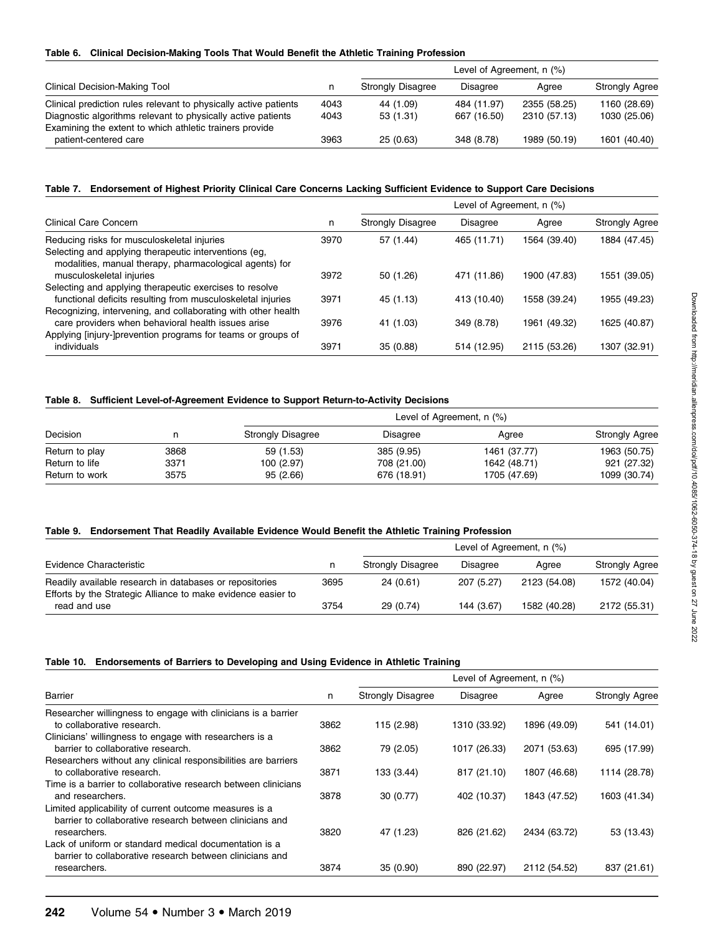#### Table 6. Clinical Decision-Making Tools That Would Benefit the Athletic Training Profession

|                                                                                                                         |      | Level of Agreement, n (%) |             |              |                       |  |
|-------------------------------------------------------------------------------------------------------------------------|------|---------------------------|-------------|--------------|-----------------------|--|
| <b>Clinical Decision-Making Tool</b>                                                                                    |      | <b>Strongly Disagree</b>  | Disagree    | Aaree        | <b>Strongly Agree</b> |  |
| Clinical prediction rules relevant to physically active patients                                                        | 4043 | 44 (1.09)                 | 484 (11.97) | 2355 (58.25) | 1160 (28.69)          |  |
| Diagnostic algorithms relevant to physically active patients<br>Examining the extent to which athletic trainers provide | 4043 | 53(1.31)                  | 667 (16.50) | 2310 (57.13) | 1030 (25.06)          |  |
| patient-centered care                                                                                                   | 3963 | 25(0.63)                  | 348 (8.78)  | 1989 (50.19) | 1601 (40.40)          |  |

#### Table 7. Endorsement of Highest Priority Clinical Care Concerns Lacking Sufficient Evidence to Support Care Decisions

|                                                                                                                              |      | Level of Agreement, n (%) |                 |              |                       |  |
|------------------------------------------------------------------------------------------------------------------------------|------|---------------------------|-----------------|--------------|-----------------------|--|
| Clinical Care Concern                                                                                                        |      | <b>Strongly Disagree</b>  | <b>Disagree</b> | Agree        | <b>Strongly Agree</b> |  |
| Reducing risks for musculoskeletal injuries                                                                                  | 3970 | 57 (1.44)                 | 465 (11.71)     | 1564 (39.40) | 1884 (47.45)          |  |
| Selecting and applying therapeutic interventions (eg.<br>modalities, manual therapy, pharmacological agents) for             |      |                           |                 |              |                       |  |
| musculoskeletal injuries                                                                                                     | 3972 | 50 (1.26)                 | 471 (11.86)     | 1900 (47.83) | 1551 (39.05)          |  |
| Selecting and applying therapeutic exercises to resolve                                                                      |      |                           |                 |              |                       |  |
| functional deficits resulting from musculoskeletal injuries<br>Recognizing, intervening, and collaborating with other health | 3971 | 45 (1.13)                 | 413 (10.40)     | 1558 (39.24) | 1955 (49.23)          |  |
| care providers when behavioral health issues arise                                                                           | 3976 | 41 (1.03)                 | 349 (8.78)      | 1961 (49.32) | 1625 (40.87)          |  |
| Applying [injury-]prevention programs for teams or groups of                                                                 |      |                           |                 |              |                       |  |
| individuals                                                                                                                  | 3971 | 35(0.88)                  | 514 (12.95)     | 2115 (53.26) | 1307 (32.91)          |  |

#### Table 8. Sufficient Level-of-Agreement Evidence to Support Return-to-Activity Decisions

| Decision       |      |                          |                 |              |                       |
|----------------|------|--------------------------|-----------------|--------------|-----------------------|
|                |      | <b>Strongly Disagree</b> | <b>Disagree</b> | Agree        | <b>Strongly Agree</b> |
| Return to play | 3868 | 59 (1.53)                | 385 (9.95)      | 1461 (37.77) | 1963 (50.75)          |
| Return to life | 3371 | 100 (2.97)               | 708 (21.00)     | 1642 (48.71) | 921 (27.32)           |
| Return to work | 3575 | 95(2.66)                 | 676 (18.91)     | 1705 (47.69) | 1099 (30.74)          |

#### Table 9. Endorsement That Readily Available Evidence Would Benefit the Athletic Training Profession

|                                                                                                                         |      | Level of Agreement, n (%) |                 |              |                       |  |
|-------------------------------------------------------------------------------------------------------------------------|------|---------------------------|-----------------|--------------|-----------------------|--|
| Evidence Characteristic                                                                                                 |      | <b>Strongly Disagree</b>  | <b>Disagree</b> | Aaree        | <b>Strongly Agree</b> |  |
| Readily available research in databases or repositories<br>Efforts by the Strategic Alliance to make evidence easier to | 3695 | 24(0.61)                  | 207 (5.27)      | 2123 (54.08) | 1572 (40.04)          |  |
| read and use                                                                                                            | 3754 | 29(0.74)                  | 144 (3.67)      | 1582 (40.28) | 2172 (55.31)          |  |

#### Table 10. Endorsements of Barriers to Developing and Using Evidence in Athletic Training

|                                                                                                                    |      | Level of Agreement, n (%) |                 |              |                       |  |
|--------------------------------------------------------------------------------------------------------------------|------|---------------------------|-----------------|--------------|-----------------------|--|
| Barrier                                                                                                            |      | <b>Strongly Disagree</b>  | <b>Disagree</b> | Agree        | <b>Strongly Agree</b> |  |
| Researcher willingness to engage with clinicians is a barrier<br>to collaborative research.                        | 3862 | 115 (2.98)                | 1310 (33.92)    | 1896 (49.09) | 541 (14.01)           |  |
| Clinicians' willingness to engage with researchers is a<br>barrier to collaborative research.                      | 3862 | 79 (2.05)                 | 1017 (26.33)    | 2071 (53.63) | 695 (17.99)           |  |
| Researchers without any clinical responsibilities are barriers<br>to collaborative research.                       | 3871 | 133 (3.44)                | 817 (21.10)     | 1807 (46.68) | 1114 (28.78)          |  |
| Time is a barrier to collaborative research between clinicians<br>and researchers.                                 | 3878 | 30(0.77)                  | 402 (10.37)     | 1843 (47.52) | 1603 (41.34)          |  |
| Limited applicability of current outcome measures is a<br>barrier to collaborative research between clinicians and |      |                           |                 |              |                       |  |
| researchers.<br>Lack of uniform or standard medical documentation is a                                             | 3820 | 47 (1.23)                 | 826 (21.62)     | 2434 (63.72) | 53 (13.43)            |  |
| barrier to collaborative research between clinicians and<br>researchers.                                           | 3874 | 35 (0.90)                 | 890 (22.97)     | 2112 (54.52) | 837 (21.61)           |  |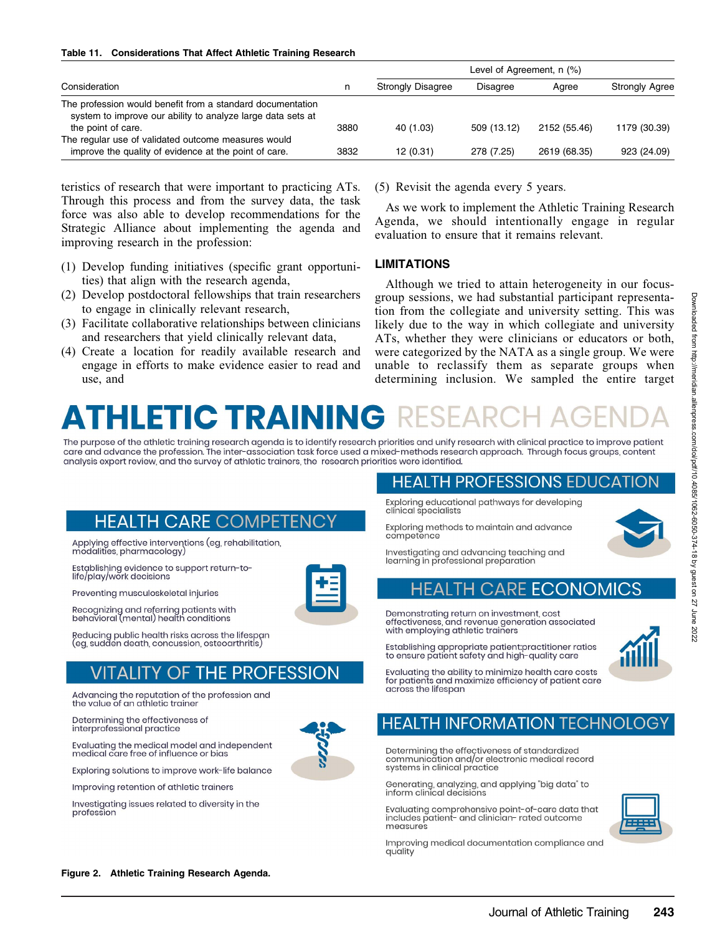#### Table 11. Considerations That Affect Athletic Training Research

|                                                                                                                                                 |      | Level of Agreement, n (%) |                 |              |                       |  |
|-------------------------------------------------------------------------------------------------------------------------------------------------|------|---------------------------|-----------------|--------------|-----------------------|--|
| Consideration                                                                                                                                   |      | <b>Strongly Disagree</b>  | <b>Disagree</b> | Aaree        | <b>Strongly Agree</b> |  |
| The profession would benefit from a standard documentation<br>system to improve our ability to analyze large data sets at<br>the point of care. | 3880 | 40 (1.03)                 | 509 (13.12)     | 2152 (55.46) | 1179 (30.39)          |  |
| The regular use of validated outcome measures would<br>improve the quality of evidence at the point of care.                                    | 3832 | 12(0.31)                  | 278 (7.25)      | 2619 (68.35) | 923 (24.09)           |  |

teristics of research that were important to practicing ATs. Through this process and from the survey data, the task force was also able to develop recommendations for the Strategic Alliance about implementing the agenda and improving research in the profession:

- (1) Develop funding initiatives (specific grant opportunities) that align with the research agenda,
- (2) Develop postdoctoral fellowships that train researchers to engage in clinically relevant research,
- (3) Facilitate collaborative relationships between clinicians and researchers that yield clinically relevant data,
- (4) Create a location for readily available research and engage in efforts to make evidence easier to read and use, and

(5) Revisit the agenda every 5 years.

As we work to implement the Athletic Training Research Agenda, we should intentionally engage in regular evaluation to ensure that it remains relevant.

#### LIMITATIONS

Although we tried to attain heterogeneity in our focusgroup sessions, we had substantial participant representation from the collegiate and university setting. This was likely due to the way in which collegiate and university ATs, whether they were clinicians or educators or both, were categorized by the NATA as a single group. We were unable to reclassify them as separate groups when determining inclusion. We sampled the entire target

# HLETIC TRAI

The purpose of the athletic training research agenda is to identify research priorities and unify research with clinical practice to improve patient care and advance the profession. The inter-association task force used a mixed-methods research approach. Through focus groups, content analysis expert review, and the survey of athletic trainers, the research priorities were identified.

## HEALTH CARE COMPETEN

Applying effective interventions (eg, rehabilitation, modalities, pharmacology)

Establishing evidence to support return-tolife/play/work decisions

Preventing musculoskeletal injuries

Recognizing and referring patients with behavioral (mental) health conditions

Reducing public health risks across the lifespan (eg, sudden death, concussion, osteoarthritis)

## **THE PROFESSION**

Advancing the reputation of the profession and the value of an athletic trainer

Determining the effectiveness of interprofessional practice

Evaluating the medical model and independent medical care free of influence or bias

Exploring solutions to improve work-life balance

Improving retention of athletic trainers

Investigating issues related to diversity in the profession

#### HEALTH PROFESSIONS EDUCATION Exploring educational pathways for developing clinical specialists

Exploring methods to maintain and advance competence



Investigating and advancing teaching and learning in professional preparation

#### **CARE** н E

Demonstrating return on investment, cost effectiveness, and revenue generation associated with employing athletic trainers

Establishing appropriate patient:practitioner ratios to ensure patient safety and high-quality care



Evaluating the ability to minimize health care costs for patients and maximize efficiency of patient care across the lifespan

## H INFORMATION TECHN(

Determining the effectiveness of standardized communication and/or electronic medical record systems in clinical practice

Generating, analyzing, and applying "big data" to inform clinical decisions

Evaluating comprehensive point-of-care data that includes patient- and clinician- rated outcome measures



Improving medical documentation compliance and quality